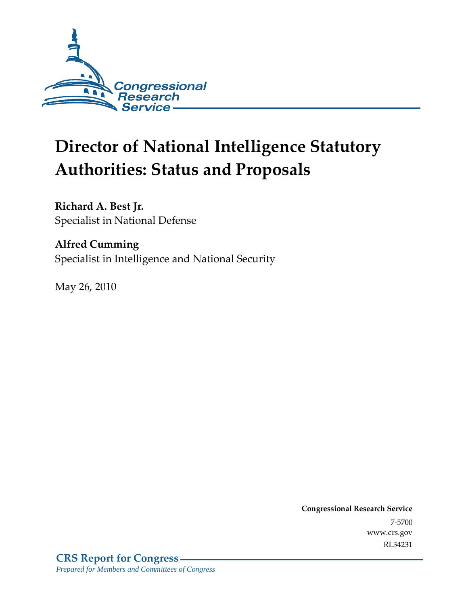

# **Director of National Intelligence Statutory Authorities: Status and Proposals**

**Richard A. Best Jr.**  Specialist in National Defense

**Alfred Cumming**  Specialist in Intelligence and National Security

May 26, 2010

**Congressional Research Service** 7-5700 www.crs.gov RL34231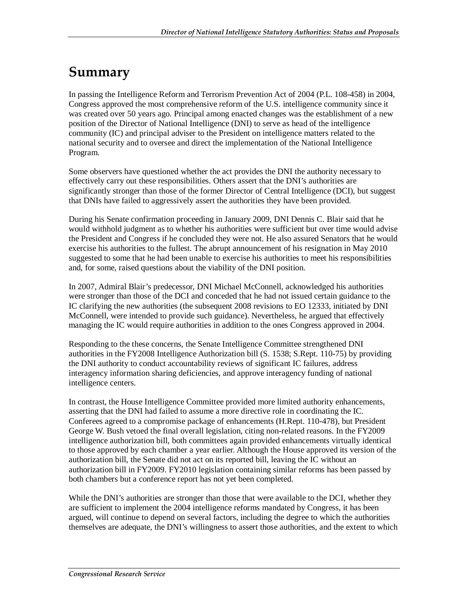# **Summary**

In passing the Intelligence Reform and Terrorism Prevention Act of 2004 (P.L. 108-458) in 2004, Congress approved the most comprehensive reform of the U.S. intelligence community since it was created over 50 years ago. Principal among enacted changes was the establishment of a new position of the Director of National Intelligence (DNI) to serve as head of the intelligence community (IC) and principal adviser to the President on intelligence matters related to the national security and to oversee and direct the implementation of the National Intelligence Program.

Some observers have questioned whether the act provides the DNI the authority necessary to effectively carry out these responsibilities. Others assert that the DNI's authorities are significantly stronger than those of the former Director of Central Intelligence (DCI), but suggest that DNIs have failed to aggressively assert the authorities they have been provided.

During his Senate confirmation proceeding in January 2009, DNI Dennis C. Blair said that he would withhold judgment as to whether his authorities were sufficient but over time would advise the President and Congress if he concluded they were not. He also assured Senators that he would exercise his authorities to the fullest. The abrupt announcement of his resignation in May 2010 suggested to some that he had been unable to exercise his authorities to meet his responsibilities and, for some, raised questions about the viability of the DNI position.

In 2007, Admiral Blair's predecessor, DNI Michael McConnell, acknowledged his authorities were stronger than those of the DCI and conceded that he had not issued certain guidance to the IC clarifying the new authorities (the subsequent 2008 revisions to EO 12333, initiated by DNI McConnell, were intended to provide such guidance). Nevertheless, he argued that effectively managing the IC would require authorities in addition to the ones Congress approved in 2004.

Responding to the these concerns, the Senate Intelligence Committee strengthened DNI authorities in the FY2008 Intelligence Authorization bill (S. 1538; S.Rept. 110-75) by providing the DNI authority to conduct accountability reviews of significant IC failures, address interagency information sharing deficiencies, and approve interagency funding of national intelligence centers.

In contrast, the House Intelligence Committee provided more limited authority enhancements, asserting that the DNI had failed to assume a more directive role in coordinating the IC. Conferees agreed to a compromise package of enhancements (H.Rept. 110-478), but President George W. Bush vetoed the final overall legislation, citing non-related reasons. In the FY2009 intelligence authorization bill, both committees again provided enhancements virtually identical to those approved by each chamber a year earlier. Although the House approved its version of the authorization bill, the Senate did not act on its reported bill, leaving the IC without an authorization bill in FY2009. FY2010 legislation containing similar reforms has been passed by both chambers but a conference report has not yet been completed.

While the DNI's authorities are stronger than those that were available to the DCI, whether they are sufficient to implement the 2004 intelligence reforms mandated by Congress, it has been argued, will continue to depend on several factors, including the degree to which the authorities themselves are adequate, the DNI's willingness to assert those authorities, and the extent to which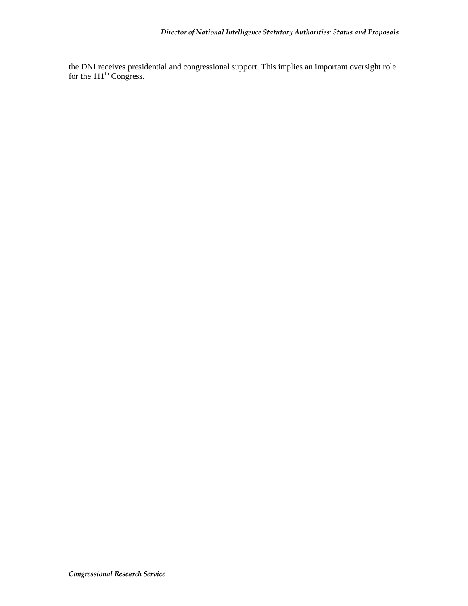the DNI receives presidential and congressional support. This implies an important oversight role for the  $111<sup>th</sup>$  Congress.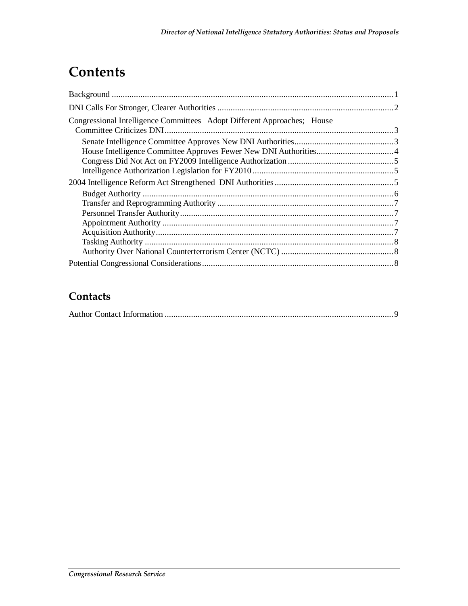# **Contents**

| Congressional Intelligence Committees Adopt Different Approaches; House |  |
|-------------------------------------------------------------------------|--|
|                                                                         |  |
|                                                                         |  |
|                                                                         |  |
|                                                                         |  |
|                                                                         |  |
|                                                                         |  |
|                                                                         |  |
|                                                                         |  |
|                                                                         |  |
|                                                                         |  |
|                                                                         |  |
|                                                                         |  |
|                                                                         |  |

# **Contacts**

|--|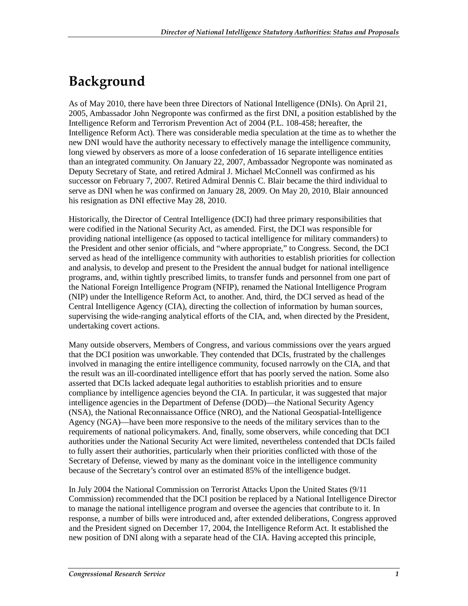# **Background**

As of May 2010, there have been three Directors of National Intelligence (DNIs). On April 21, 2005, Ambassador John Negroponte was confirmed as the first DNI, a position established by the Intelligence Reform and Terrorism Prevention Act of 2004 (P.L. 108-458; hereafter, the Intelligence Reform Act). There was considerable media speculation at the time as to whether the new DNI would have the authority necessary to effectively manage the intelligence community, long viewed by observers as more of a loose confederation of 16 separate intelligence entities than an integrated community. On January 22, 2007, Ambassador Negroponte was nominated as Deputy Secretary of State, and retired Admiral J. Michael McConnell was confirmed as his successor on February 7, 2007. Retired Admiral Dennis C. Blair became the third individual to serve as DNI when he was confirmed on January 28, 2009. On May 20, 2010, Blair announced his resignation as DNI effective May 28, 2010.

Historically, the Director of Central Intelligence (DCI) had three primary responsibilities that were codified in the National Security Act, as amended. First, the DCI was responsible for providing national intelligence (as opposed to tactical intelligence for military commanders) to the President and other senior officials, and "where appropriate," to Congress. Second, the DCI served as head of the intelligence community with authorities to establish priorities for collection and analysis, to develop and present to the President the annual budget for national intelligence programs, and, within tightly prescribed limits, to transfer funds and personnel from one part of the National Foreign Intelligence Program (NFIP), renamed the National Intelligence Program (NIP) under the Intelligence Reform Act, to another. And, third, the DCI served as head of the Central Intelligence Agency (CIA), directing the collection of information by human sources, supervising the wide-ranging analytical efforts of the CIA, and, when directed by the President, undertaking covert actions.

Many outside observers, Members of Congress, and various commissions over the years argued that the DCI position was unworkable. They contended that DCIs, frustrated by the challenges involved in managing the entire intelligence community, focused narrowly on the CIA, and that the result was an ill-coordinated intelligence effort that has poorly served the nation. Some also asserted that DCIs lacked adequate legal authorities to establish priorities and to ensure compliance by intelligence agencies beyond the CIA. In particular, it was suggested that major intelligence agencies in the Department of Defense (DOD)—the National Security Agency (NSA), the National Reconnaissance Office (NRO), and the National Geospatial-Intelligence Agency (NGA)—have been more responsive to the needs of the military services than to the requirements of national policymakers. And, finally, some observers, while conceding that DCI authorities under the National Security Act were limited, nevertheless contended that DCIs failed to fully assert their authorities, particularly when their priorities conflicted with those of the Secretary of Defense, viewed by many as the dominant voice in the intelligence community because of the Secretary's control over an estimated 85% of the intelligence budget.

In July 2004 the National Commission on Terrorist Attacks Upon the United States (9/11 Commission) recommended that the DCI position be replaced by a National Intelligence Director to manage the national intelligence program and oversee the agencies that contribute to it. In response, a number of bills were introduced and, after extended deliberations, Congress approved and the President signed on December 17, 2004, the Intelligence Reform Act. It established the new position of DNI along with a separate head of the CIA. Having accepted this principle,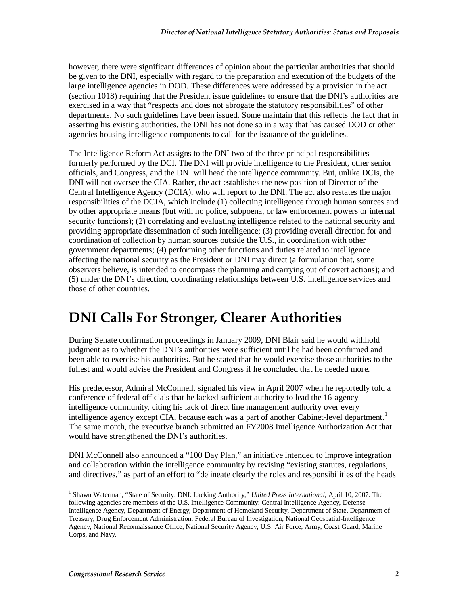however, there were significant differences of opinion about the particular authorities that should be given to the DNI, especially with regard to the preparation and execution of the budgets of the large intelligence agencies in DOD. These differences were addressed by a provision in the act (section 1018) requiring that the President issue guidelines to ensure that the DNI's authorities are exercised in a way that "respects and does not abrogate the statutory responsibilities" of other departments. No such guidelines have been issued. Some maintain that this reflects the fact that in asserting his existing authorities, the DNI has not done so in a way that has caused DOD or other agencies housing intelligence components to call for the issuance of the guidelines.

The Intelligence Reform Act assigns to the DNI two of the three principal responsibilities formerly performed by the DCI. The DNI will provide intelligence to the President, other senior officials, and Congress, and the DNI will head the intelligence community. But, unlike DCIs, the DNI will not oversee the CIA. Rather, the act establishes the new position of Director of the Central Intelligence Agency (DCIA), who will report to the DNI. The act also restates the major responsibilities of the DCIA, which include (1) collecting intelligence through human sources and by other appropriate means (but with no police, subpoena, or law enforcement powers or internal security functions); (2) correlating and evaluating intelligence related to the national security and providing appropriate dissemination of such intelligence; (3) providing overall direction for and coordination of collection by human sources outside the U.S., in coordination with other government departments; (4) performing other functions and duties related to intelligence affecting the national security as the President or DNI may direct (a formulation that, some observers believe, is intended to encompass the planning and carrying out of covert actions); and (5) under the DNI's direction, coordinating relationships between U.S. intelligence services and those of other countries.

# **DNI Calls For Stronger, Clearer Authorities**

During Senate confirmation proceedings in January 2009, DNI Blair said he would withhold judgment as to whether the DNI's authorities were sufficient until he had been confirmed and been able to exercise his authorities. But he stated that he would exercise those authorities to the fullest and would advise the President and Congress if he concluded that he needed more.

His predecessor, Admiral McConnell, signaled his view in April 2007 when he reportedly told a conference of federal officials that he lacked sufficient authority to lead the 16-agency intelligence community, citing his lack of direct line management authority over every intelligence agency except CIA, because each was a part of another Cabinet-level department.<sup>1</sup> The same month, the executive branch submitted an FY2008 Intelligence Authorization Act that would have strengthened the DNI's authorities.

DNI McConnell also announced a "100 Day Plan," an initiative intended to improve integration and collaboration within the intelligence community by revising "existing statutes, regulations, and directives," as part of an effort to "delineate clearly the roles and responsibilities of the heads

1

<sup>&</sup>lt;sup>1</sup> Shawn Waterman, "State of Security: DNI: Lacking Authority," *United Press International*, April 10, 2007. The following agencies are members of the U.S. Intelligence Community: Central Intelligence Agency, Defense Intelligence Agency, Department of Energy, Department of Homeland Security, Department of State, Department of Treasury, Drug Enforcement Administration, Federal Bureau of Investigation, National Geospatial-Intelligence Agency, National Reconnaissance Office, National Security Agency, U.S. Air Force, Army, Coast Guard, Marine Corps, and Navy.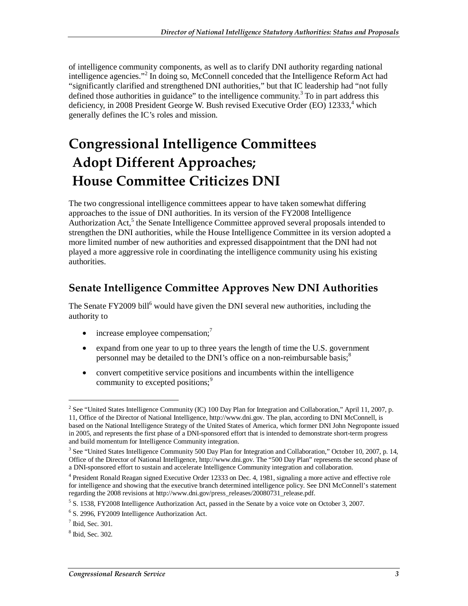of intelligence community components, as well as to clarify DNI authority regarding national intelligence agencies."<sup>2</sup> In doing so, McConnell conceded that the Intelligence Reform Act had "significantly clarified and strengthened DNI authorities," but that IC leadership had "not fully defined those authorities in guidance" to the intelligence community.<sup>3</sup> To in part address this deficiency, in 2008 President George W. Bush revised Executive Order (EO) 12333,<sup>4</sup> which generally defines the IC's roles and mission.

# **Congressional Intelligence Committees Adopt Different Approaches; House Committee Criticizes DNI**

The two congressional intelligence committees appear to have taken somewhat differing approaches to the issue of DNI authorities. In its version of the FY2008 Intelligence Authorization Act,<sup>5</sup> the Senate Intelligence Committee approved several proposals intended to strengthen the DNI authorities, while the House Intelligence Committee in its version adopted a more limited number of new authorities and expressed disappointment that the DNI had not played a more aggressive role in coordinating the intelligence community using his existing authorities.

#### **Senate Intelligence Committee Approves New DNI Authorities**

The Senate FY2009 bill<sup>6</sup> would have given the DNI several new authorities, including the authority to

- $\bullet$  increase employee compensation;<sup>7</sup>
- expand from one year to up to three years the length of time the U.S. government personnel may be detailed to the DNI's office on a non-reimbursable basis;<sup>8</sup>
- convert competitive service positions and incumbents within the intelligence community to excepted positions;<sup>9</sup>

1

<sup>&</sup>lt;sup>2</sup> See "United States Intelligence Community (IC) 100 Day Plan for Integration and Collaboration," April 11, 2007, p. 11, Office of the Director of National Intelligence, http://www.dni.gov. The plan, according to DNI McConnell, is based on the National Intelligence Strategy of the United States of America, which former DNI John Negroponte issued in 2005, and represents the first phase of a DNI-sponsored effort that is intended to demonstrate short-term progress and build momentum for Intelligence Community integration.

<sup>&</sup>lt;sup>3</sup> See "United States Intelligence Community 500 Day Plan for Integration and Collaboration," October 10, 2007, p. 14, Office of the Director of National Intelligence, http://www.dni.gov. The "500 Day Plan" represents the second phase of a DNI-sponsored effort to sustain and accelerate Intelligence Community integration and collaboration.

<sup>&</sup>lt;sup>4</sup> President Ronald Reagan signed Executive Order 12333 on Dec. 4, 1981, signaling a more active and effective role for intelligence and showing that the executive branch determined intelligence policy. See DNI McConnell's statement regarding the 2008 revisions at http://www.dni.gov/press\_releases/20080731\_release.pdf.

<sup>&</sup>lt;sup>5</sup> S. 1538, FY2008 Intelligence Authorization Act, passed in the Senate by a voice vote on October 3, 2007.

<sup>&</sup>lt;sup>6</sup> S. 2996, FY2009 Intelligence Authorization Act.

 $<sup>7</sup>$  Ibid, Sec. 301.</sup>

<sup>8</sup> Ibid, Sec. 302.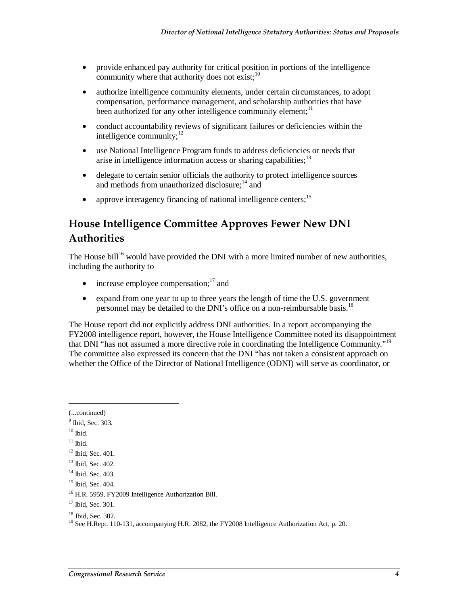- provide enhanced pay authority for critical position in portions of the intelligence community where that authority does not exist: $^{10}$
- authorize intelligence community elements, under certain circumstances, to adopt compensation, performance management, and scholarship authorities that have been authorized for any other intelligence community element;<sup>11</sup>
- conduct accountability reviews of significant failures or deficiencies within the intelligence community; $^{12}$
- use National Intelligence Program funds to address deficiencies or needs that arise in intelligence information access or sharing capabilities; $13$
- delegate to certain senior officials the authority to protect intelligence sources and methods from unauthorized disclosure; $^{14}$  and
- approve interagency financing of national intelligence centers; $1<sup>5</sup>$

#### **House Intelligence Committee Approves Fewer New DNI Authorities**

The House bill<sup>16</sup> would have provided the DNI with a more limited number of new authorities, including the authority to

- $\bullet$  increase employee compensation;<sup>17</sup> and
- expand from one year to up to three years the length of time the U.S. government personnel may be detailed to the DNI's office on a non-reimbursable basis.<sup>18</sup>

The House report did not explicitly address DNI authorities. In a report accompanying the FY2008 intelligence report, however, the House Intelligence Committee noted its disappointment that DNI "has not assumed a more directive role in coordinating the Intelligence Community."<sup>19</sup> The committee also expressed its concern that the DNI "has not taken a consistent approach on whether the Office of the Director of National Intelligence (ODNI) will serve as coordinator, or

 $10$  Ibid.

1

 $11$  Ibid.

<sup>(...</sup>continued)

<sup>&</sup>lt;sup>9</sup> Ibid, Sec. 303.

 $12$  Ibid, Sec. 401.

 $13$  Ibid, Sec. 402.

 $14$  Ibid, Sec. 403.

<sup>&</sup>lt;sup>15</sup> Ibid, Sec. 404.

<sup>&</sup>lt;sup>16</sup> H.R. 5959, FY2009 Intelligence Authorization Bill.

<sup>&</sup>lt;sup>17</sup> Ibid, Sec. 301.

<sup>&</sup>lt;sup>18</sup> Ibid, Sec. 302.<br><sup>19</sup> See H.Rept. 110-131, accompanying H.R. 2082, the FY2008 Intelligence Authorization Act, p. 20.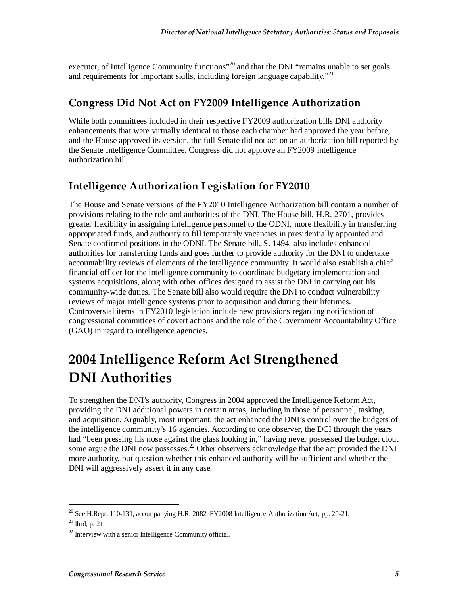executor, of Intelligence Community functions<sup>"20</sup> and that the DNI "remains unable to set goals and requirements for important skills, including foreign language capability."<sup>21</sup>

#### **Congress Did Not Act on FY2009 Intelligence Authorization**

While both committees included in their respective FY2009 authorization bills DNI authority enhancements that were virtually identical to those each chamber had approved the year before, and the House approved its version, the full Senate did not act on an authorization bill reported by the Senate Intelligence Committee. Congress did not approve an FY2009 intelligence authorization bill.

#### **Intelligence Authorization Legislation for FY2010**

The House and Senate versions of the FY2010 Intelligence Authorization bill contain a number of provisions relating to the role and authorities of the DNI. The House bill, H.R. 2701, provides greater flexibility in assigning intelligence personnel to the ODNI, more flexibility in transferring appropriated funds, and authority to fill temporarily vacancies in presidentially appointed and Senate confirmed positions in the ODNI. The Senate bill, S. 1494, also includes enhanced authorities for transferring funds and goes further to provide authority for the DNI to undertake accountability reviews of elements of the intelligence community. It would also establish a chief financial officer for the intelligence community to coordinate budgetary implementation and systems acquisitions, along with other offices designed to assist the DNI in carrying out his community-wide duties. The Senate bill also would require the DNI to conduct vulnerability reviews of major intelligence systems prior to acquisition and during their lifetimes. Controversial items in FY2010 legislation include new provisions regarding notification of congressional committees of covert actions and the role of the Government Accountability Office (GAO) in regard to intelligence agencies.

# **2004 Intelligence Reform Act Strengthened DNI Authorities**

To strengthen the DNI's authority, Congress in 2004 approved the Intelligence Reform Act, providing the DNI additional powers in certain areas, including in those of personnel, tasking, and acquisition. Arguably, most important, the act enhanced the DNI's control over the budgets of the intelligence community's 16 agencies. According to one observer, the DCI through the years had "been pressing his nose against the glass looking in," having never possessed the budget clout some argue the DNI now possesses.<sup>22</sup> Other observers acknowledge that the act provided the DNI more authority, but question whether this enhanced authority will be sufficient and whether the DNI will aggressively assert it in any case.

1

<sup>&</sup>lt;sup>20</sup> See H.Rept. 110-131, accompanying H.R. 2082, FY2008 Intelligence Authorization Act, pp. 20-21.

 $21$  Ibid, p. 21.

 $^{22}$  Interview with a senior Intelligence Community official.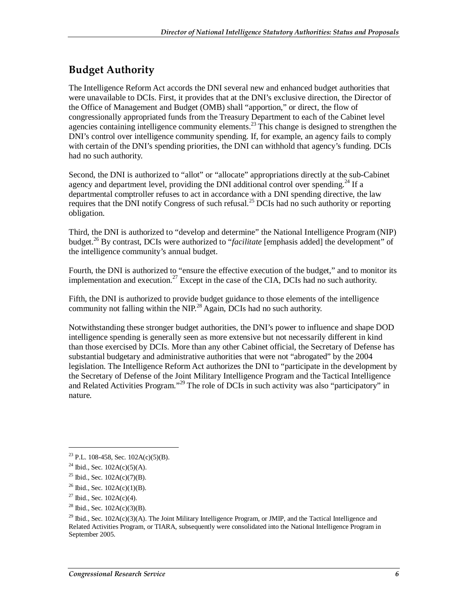### **Budget Authority**

The Intelligence Reform Act accords the DNI several new and enhanced budget authorities that were unavailable to DCIs. First, it provides that at the DNI's exclusive direction, the Director of the Office of Management and Budget (OMB) shall "apportion," or direct, the flow of congressionally appropriated funds from the Treasury Department to each of the Cabinet level agencies containing intelligence community elements.<sup>23</sup> This change is designed to strengthen the DNI's control over intelligence community spending. If, for example, an agency fails to comply with certain of the DNI's spending priorities, the DNI can withhold that agency's funding. DCIs had no such authority.

Second, the DNI is authorized to "allot" or "allocate" appropriations directly at the sub-Cabinet agency and department level, providing the DNI additional control over spending.<sup>24</sup> If a departmental comptroller refuses to act in accordance with a DNI spending directive, the law requires that the DNI notify Congress of such refusal.<sup>25</sup> DCIs had no such authority or reporting obligation.

Third, the DNI is authorized to "develop and determine" the National Intelligence Program (NIP) budget.26 By contrast, DCIs were authorized to "*facilitate* [emphasis added] the development" of the intelligence community's annual budget.

Fourth, the DNI is authorized to "ensure the effective execution of the budget," and to monitor its implementation and execution.<sup>27</sup> Except in the case of the CIA, DCIs had no such authority.

Fifth, the DNI is authorized to provide budget guidance to those elements of the intelligence community not falling within the  $NIP<sup>28</sup>$  Again, DCIs had no such authority.

Notwithstanding these stronger budget authorities, the DNI's power to influence and shape DOD intelligence spending is generally seen as more extensive but not necessarily different in kind than those exercised by DCIs. More than any other Cabinet official, the Secretary of Defense has substantial budgetary and administrative authorities that were not "abrogated" by the 2004 legislation. The Intelligence Reform Act authorizes the DNI to "participate in the development by the Secretary of Defense of the Joint Military Intelligence Program and the Tactical Intelligence and Related Activities Program."29 The role of DCIs in such activity was also "participatory" in nature.

<u>.</u>

<sup>&</sup>lt;sup>23</sup> P.L. 108-458, Sec. 102A(c)(5)(B).

<sup>&</sup>lt;sup>24</sup> Ibid., Sec.  $102A(c)(5)(A)$ .

<sup>&</sup>lt;sup>25</sup> Ibid., Sec.  $102A(c)(7)(B)$ .

<sup>&</sup>lt;sup>26</sup> Ibid., Sec.  $102A(c)(1)(B)$ .

 $27$  Ibid., Sec. 102A(c)(4).

 $^{28}$  Ibid., Sec. 102A(c)(3)(B).

<sup>&</sup>lt;sup>29</sup> Ibid., Sec. 102A(c)(3)(A). The Joint Military Intelligence Program, or JMIP, and the Tactical Intelligence and Related Activities Program, or TIARA, subsequently were consolidated into the National Intelligence Program in September 2005.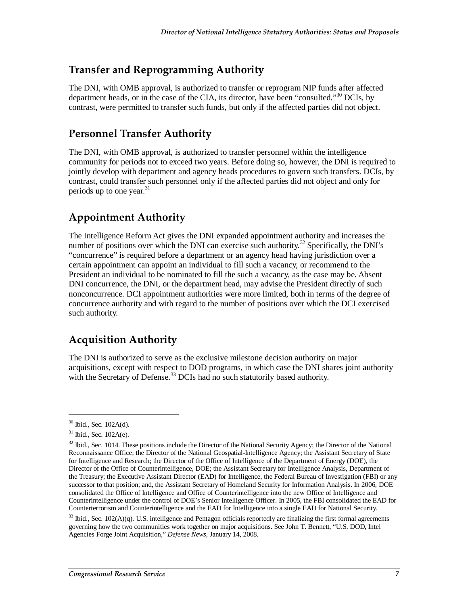#### **Transfer and Reprogramming Authority**

The DNI, with OMB approval, is authorized to transfer or reprogram NIP funds after affected department heads, or in the case of the CIA, its director, have been "consulted."<sup>30</sup> DCIs, by contrast, were permitted to transfer such funds, but only if the affected parties did not object.

### **Personnel Transfer Authority**

The DNI, with OMB approval, is authorized to transfer personnel within the intelligence community for periods not to exceed two years. Before doing so, however, the DNI is required to jointly develop with department and agency heads procedures to govern such transfers. DCIs, by contrast, could transfer such personnel only if the affected parties did not object and only for periods up to one year.<sup>31</sup>

### **Appointment Authority**

The Intelligence Reform Act gives the DNI expanded appointment authority and increases the number of positions over which the DNI can exercise such authority.<sup>32</sup> Specifically, the DNI's "concurrence" is required before a department or an agency head having jurisdiction over a certain appointment can appoint an individual to fill such a vacancy, or recommend to the President an individual to be nominated to fill the such a vacancy, as the case may be. Absent DNI concurrence, the DNI, or the department head, may advise the President directly of such nonconcurrence. DCI appointment authorities were more limited, both in terms of the degree of concurrence authority and with regard to the number of positions over which the DCI exercised such authority.

## **Acquisition Authority**

The DNI is authorized to serve as the exclusive milestone decision authority on major acquisitions, except with respect to DOD programs, in which case the DNI shares joint authority with the Secretary of Defense. $^{33}$  DCIs had no such statutorily based authority.

<u>.</u>

<sup>30</sup> Ibid., Sec. 102A(d).

 $31$  Ibid., Sec. 102A(e).

 $32$  Ibid., Sec. 1014. These positions include the Director of the National Security Agency; the Director of the National Reconnaissance Office; the Director of the National Geospatial-Intelligence Agency; the Assistant Secretary of State for Intelligence and Research; the Director of the Office of Intelligence of the Department of Energy (DOE), the Director of the Office of Counterintelligence, DOE; the Assistant Secretary for Intelligence Analysis, Department of the Treasury; the Executive Assistant Director (EAD) for Intelligence, the Federal Bureau of Investigation (FBI) or any successor to that position; and, the Assistant Secretary of Homeland Security for Information Analysis. In 2006, DOE consolidated the Office of Intelligence and Office of Counterintelligence into the new Office of Intelligence and Counterintelligence under the control of DOE's Senior Intelligence Officer. In 2005, the FBI consolidated the EAD for Counterterrorism and Counterintelligence and the EAD for Intelligence into a single EAD for National Security.

 $33$  Ibid., Sec. 102(A)(q). U.S. intelligence and Pentagon officials reportedly are finalizing the first formal agreements governing how the two communities work together on major acquisitions. See John T. Bennett, "U.S. DOD, Intel Agencies Forge Joint Acquisition," *Defense News*, January 14, 2008.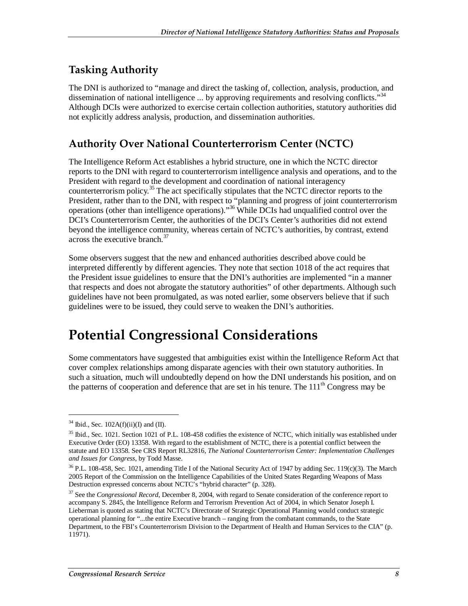### **Tasking Authority**

The DNI is authorized to "manage and direct the tasking of, collection, analysis, production, and dissemination of national intelligence  $\dots$  by approving requirements and resolving conflicts."<sup>34</sup> Although DCIs were authorized to exercise certain collection authorities, statutory authorities did not explicitly address analysis, production, and dissemination authorities.

### **Authority Over National Counterterrorism Center (NCTC)**

The Intelligence Reform Act establishes a hybrid structure, one in which the NCTC director reports to the DNI with regard to counterterrorism intelligence analysis and operations, and to the President with regard to the development and coordination of national interagency counterterrorism policy.<sup>35</sup> The act specifically stipulates that the NCTC director reports to the President, rather than to the DNI, with respect to "planning and progress of joint counterterrorism operations (other than intelligence operations)."36 While DCIs had unqualified control over the DCI's Counterterrorism Center, the authorities of the DCI's Center's authorities did not extend beyond the intelligence community, whereas certain of NCTC's authorities, by contrast, extend across the executive branch.<sup>37</sup>

Some observers suggest that the new and enhanced authorities described above could be interpreted differently by different agencies. They note that section 1018 of the act requires that the President issue guidelines to ensure that the DNI's authorities are implemented "in a manner that respects and does not abrogate the statutory authorities" of other departments. Although such guidelines have not been promulgated, as was noted earlier, some observers believe that if such guidelines were to be issued, they could serve to weaken the DNI's authorities.

# **Potential Congressional Considerations**

Some commentators have suggested that ambiguities exist within the Intelligence Reform Act that cover complex relationships among disparate agencies with their own statutory authorities. In such a situation, much will undoubtedly depend on how the DNI understands his position, and on the patterns of cooperation and deference that are set in his tenure. The  $111<sup>th</sup>$  Congress may be

<u>.</u>

 $34$  Ibid., Sec. 102A(f)(ii)(I) and (II).

<sup>&</sup>lt;sup>35</sup> Ibid., Sec. 1021. Section 1021 of P.L. 108-458 codifies the existence of NCTC, which initially was established under Executive Order (EO) 13358. With regard to the establishment of NCTC, there is a potential conflict between the statute and EO 13358. See CRS Report RL32816, *The National Counterterrorism Center: Implementation Challenges and Issues for Congress*, by Todd Masse.

<sup>&</sup>lt;sup>36</sup> P.L. 108-458, Sec. 1021, amending Title I of the National Security Act of 1947 by adding Sec. 119(c)(3). The March 2005 Report of the Commission on the Intelligence Capabilities of the United States Regarding Weapons of Mass Destruction expressed concerns about NCTC's "hybrid character" (p. 328).

<sup>37</sup> See the *Congressional Record*, December 8, 2004, with regard to Senate consideration of the conference report to accompany S. 2845, the Intelligence Reform and Terrorism Prevention Act of 2004, in which Senator Joseph I. Lieberman is quoted as stating that NCTC's Directorate of Strategic Operational Planning would conduct strategic operational planning for "...the entire Executive branch – ranging from the combatant commands, to the State Department, to the FBI's Counterterrorism Division to the Department of Health and Human Services to the CIA" (p. 11971).